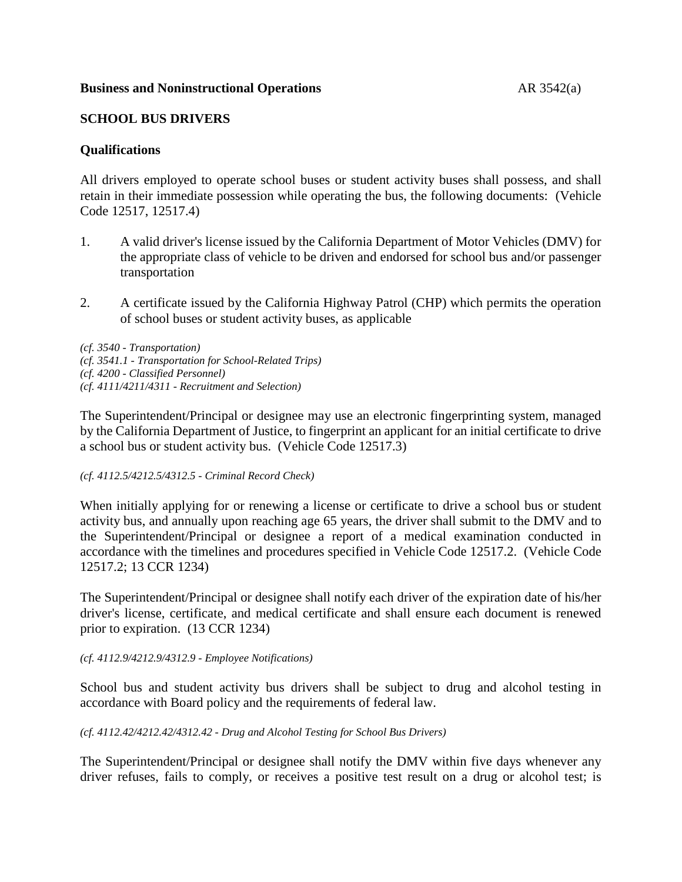## **Business and Noninstructional Operations AR 3542(a)**

## **SCHOOL BUS DRIVERS**

## **Qualifications**

All drivers employed to operate school buses or student activity buses shall possess, and shall retain in their immediate possession while operating the bus, the following documents: (Vehicle Code 12517, 12517.4)

- 1. A valid driver's license issued by the California Department of Motor Vehicles (DMV) for the appropriate class of vehicle to be driven and endorsed for school bus and/or passenger transportation
- 2. A certificate issued by the California Highway Patrol (CHP) which permits the operation of school buses or student activity buses, as applicable

*(cf. 3540 - Transportation) (cf. 3541.1 - Transportation for School-Related Trips) (cf. 4200 - Classified Personnel) (cf. 4111/4211/4311 - Recruitment and Selection)*

The Superintendent/Principal or designee may use an electronic fingerprinting system, managed by the California Department of Justice, to fingerprint an applicant for an initial certificate to drive a school bus or student activity bus. (Vehicle Code 12517.3)

*(cf. 4112.5/4212.5/4312.5 - Criminal Record Check)*

When initially applying for or renewing a license or certificate to drive a school bus or student activity bus, and annually upon reaching age 65 years, the driver shall submit to the DMV and to the Superintendent/Principal or designee a report of a medical examination conducted in accordance with the timelines and procedures specified in Vehicle Code 12517.2. (Vehicle Code 12517.2; 13 CCR 1234)

The Superintendent/Principal or designee shall notify each driver of the expiration date of his/her driver's license, certificate, and medical certificate and shall ensure each document is renewed prior to expiration. (13 CCR 1234)

#### *(cf. 4112.9/4212.9/4312.9 - Employee Notifications)*

School bus and student activity bus drivers shall be subject to drug and alcohol testing in accordance with Board policy and the requirements of federal law.

*(cf. 4112.42/4212.42/4312.42 - Drug and Alcohol Testing for School Bus Drivers)*

The Superintendent/Principal or designee shall notify the DMV within five days whenever any driver refuses, fails to comply, or receives a positive test result on a drug or alcohol test; is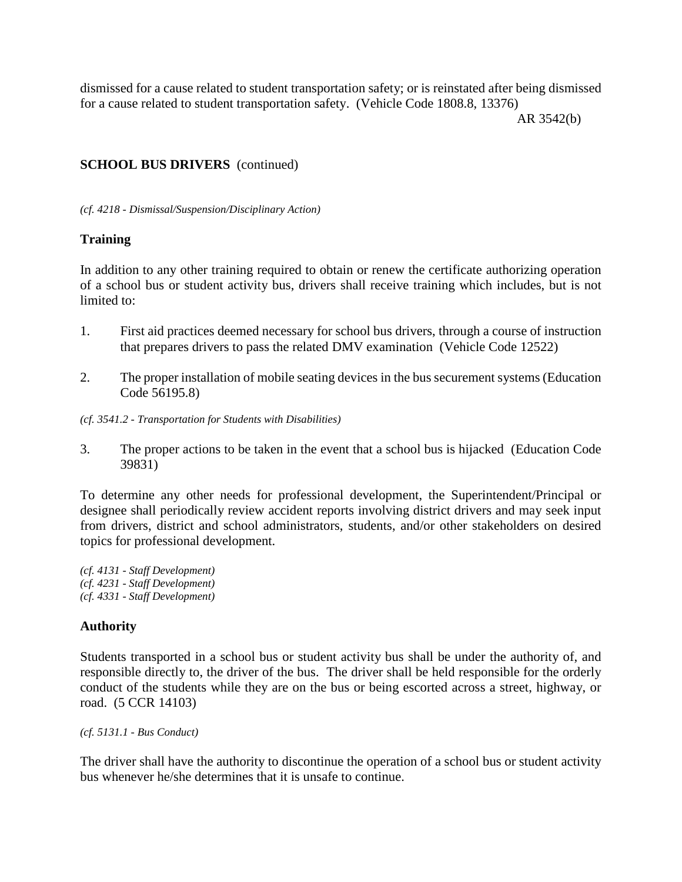dismissed for a cause related to student transportation safety; or is reinstated after being dismissed for a cause related to student transportation safety. (Vehicle Code 1808.8, 13376)

AR 3542(b)

# **SCHOOL BUS DRIVERS** (continued)

*(cf. 4218 - Dismissal/Suspension/Disciplinary Action)*

# **Training**

In addition to any other training required to obtain or renew the certificate authorizing operation of a school bus or student activity bus, drivers shall receive training which includes, but is not limited to:

- 1. First aid practices deemed necessary for school bus drivers, through a course of instruction that prepares drivers to pass the related DMV examination (Vehicle Code 12522)
- 2. The proper installation of mobile seating devices in the bus securement systems (Education Code 56195.8)
- *(cf. 3541.2 - Transportation for Students with Disabilities)*
- 3. The proper actions to be taken in the event that a school bus is hijacked (Education Code 39831)

To determine any other needs for professional development, the Superintendent/Principal or designee shall periodically review accident reports involving district drivers and may seek input from drivers, district and school administrators, students, and/or other stakeholders on desired topics for professional development.

*(cf. 4131 - Staff Development) (cf. 4231 - Staff Development) (cf. 4331 - Staff Development)*

# **Authority**

Students transported in a school bus or student activity bus shall be under the authority of, and responsible directly to, the driver of the bus. The driver shall be held responsible for the orderly conduct of the students while they are on the bus or being escorted across a street, highway, or road. (5 CCR 14103)

*(cf. 5131.1 - Bus Conduct)*

The driver shall have the authority to discontinue the operation of a school bus or student activity bus whenever he/she determines that it is unsafe to continue.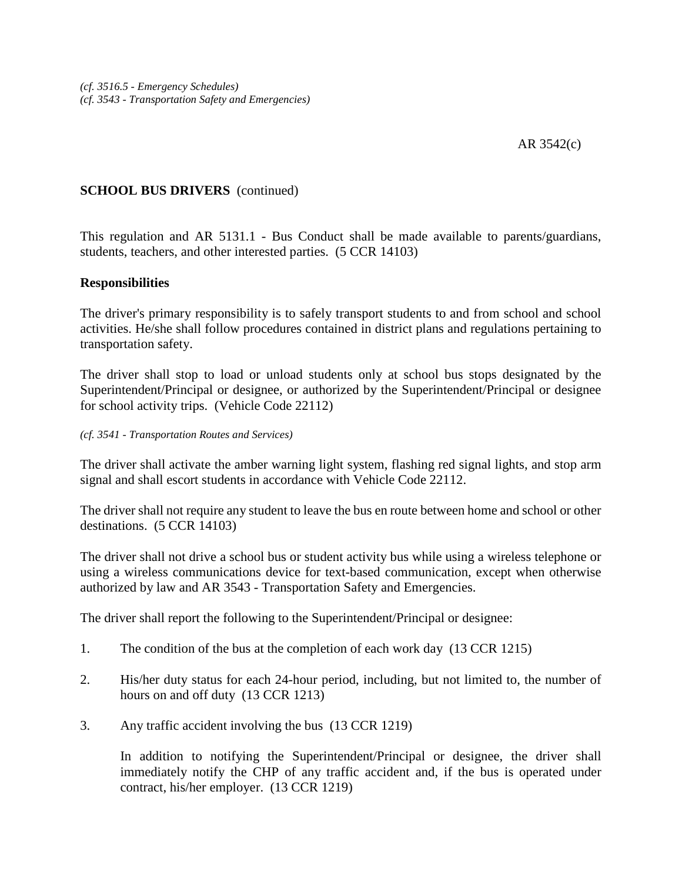# **SCHOOL BUS DRIVERS** (continued)

This regulation and AR 5131.1 - Bus Conduct shall be made available to parents/guardians, students, teachers, and other interested parties. (5 CCR 14103)

## **Responsibilities**

The driver's primary responsibility is to safely transport students to and from school and school activities. He/she shall follow procedures contained in district plans and regulations pertaining to transportation safety.

The driver shall stop to load or unload students only at school bus stops designated by the Superintendent/Principal or designee, or authorized by the Superintendent/Principal or designee for school activity trips. (Vehicle Code 22112)

#### *(cf. 3541 - Transportation Routes and Services)*

The driver shall activate the amber warning light system, flashing red signal lights, and stop arm signal and shall escort students in accordance with Vehicle Code 22112.

The driver shall not require any student to leave the bus en route between home and school or other destinations. (5 CCR 14103)

The driver shall not drive a school bus or student activity bus while using a wireless telephone or using a wireless communications device for text-based communication, except when otherwise authorized by law and AR 3543 - Transportation Safety and Emergencies.

The driver shall report the following to the Superintendent/Principal or designee:

- 1. The condition of the bus at the completion of each work day (13 CCR 1215)
- 2. His/her duty status for each 24-hour period, including, but not limited to, the number of hours on and off duty (13 CCR 1213)
- 3. Any traffic accident involving the bus (13 CCR 1219)

In addition to notifying the Superintendent/Principal or designee, the driver shall immediately notify the CHP of any traffic accident and, if the bus is operated under contract, his/her employer. (13 CCR 1219)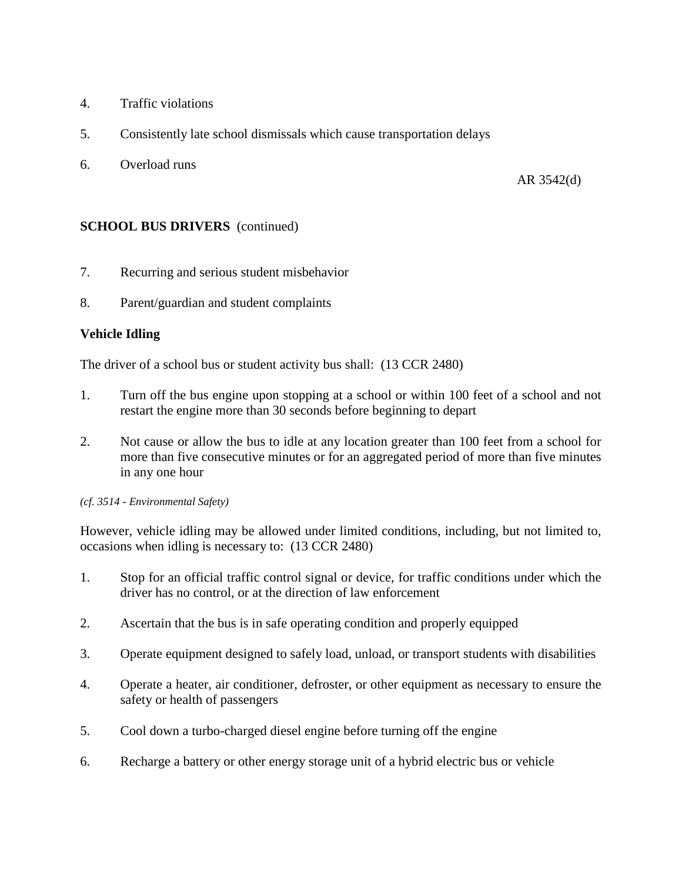- 4. Traffic violations
- 5. Consistently late school dismissals which cause transportation delays
- 6. Overload runs

AR 3542(d)

## **SCHOOL BUS DRIVERS** (continued)

- 7. Recurring and serious student misbehavior
- 8. Parent/guardian and student complaints

## **Vehicle Idling**

The driver of a school bus or student activity bus shall: (13 CCR 2480)

- 1. Turn off the bus engine upon stopping at a school or within 100 feet of a school and not restart the engine more than 30 seconds before beginning to depart
- 2. Not cause or allow the bus to idle at any location greater than 100 feet from a school for more than five consecutive minutes or for an aggregated period of more than five minutes in any one hour

#### *(cf. 3514 - Environmental Safety)*

However, vehicle idling may be allowed under limited conditions, including, but not limited to, occasions when idling is necessary to: (13 CCR 2480)

- 1. Stop for an official traffic control signal or device, for traffic conditions under which the driver has no control, or at the direction of law enforcement
- 2. Ascertain that the bus is in safe operating condition and properly equipped
- 3. Operate equipment designed to safely load, unload, or transport students with disabilities
- 4. Operate a heater, air conditioner, defroster, or other equipment as necessary to ensure the safety or health of passengers
- 5. Cool down a turbo-charged diesel engine before turning off the engine
- 6. Recharge a battery or other energy storage unit of a hybrid electric bus or vehicle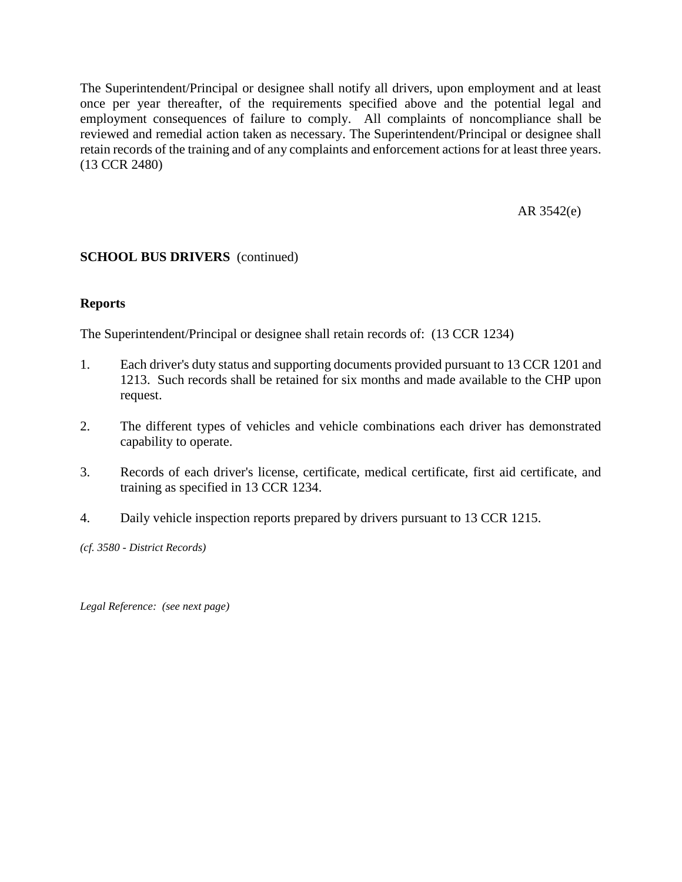The Superintendent/Principal or designee shall notify all drivers, upon employment and at least once per year thereafter, of the requirements specified above and the potential legal and employment consequences of failure to comply. All complaints of noncompliance shall be reviewed and remedial action taken as necessary. The Superintendent/Principal or designee shall retain records of the training and of any complaints and enforcement actions for at least three years. (13 CCR 2480)

AR 3542(e)

# **SCHOOL BUS DRIVERS** (continued)

# **Reports**

The Superintendent/Principal or designee shall retain records of: (13 CCR 1234)

- 1. Each driver's duty status and supporting documents provided pursuant to 13 CCR 1201 and 1213. Such records shall be retained for six months and made available to the CHP upon request.
- 2. The different types of vehicles and vehicle combinations each driver has demonstrated capability to operate.
- 3. Records of each driver's license, certificate, medical certificate, first aid certificate, and training as specified in 13 CCR 1234.
- 4. Daily vehicle inspection reports prepared by drivers pursuant to 13 CCR 1215.

*(cf. 3580 - District Records)*

*Legal Reference: (see next page)*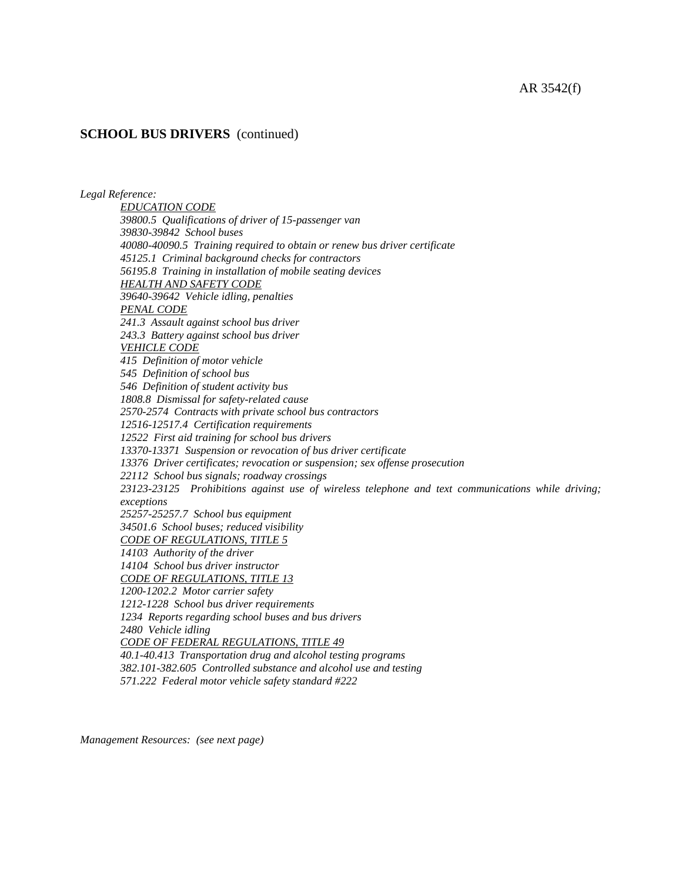#### AR 3542(f)

#### **SCHOOL BUS DRIVERS** (continued)

*Legal Reference:*

*EDUCATION CODE 39800.5 Qualifications of driver of 15-passenger van 39830-39842 School buses 40080-40090.5 Training required to obtain or renew bus driver certificate 45125.1 Criminal background checks for contractors 56195.8 Training in installation of mobile seating devices HEALTH AND SAFETY CODE 39640-39642 Vehicle idling, penalties PENAL CODE 241.3 Assault against school bus driver 243.3 Battery against school bus driver VEHICLE CODE 415 Definition of motor vehicle 545 Definition of school bus 546 Definition of student activity bus 1808.8 Dismissal for safety-related cause 2570-2574 Contracts with private school bus contractors 12516-12517.4 Certification requirements 12522 First aid training for school bus drivers 13370-13371 Suspension or revocation of bus driver certificate 13376 Driver certificates; revocation or suspension; sex offense prosecution 22112 School bus signals; roadway crossings 23123-23125 Prohibitions against use of wireless telephone and text communications while driving; exceptions 25257-25257.7 School bus equipment 34501.6 School buses; reduced visibility CODE OF REGULATIONS, TITLE 5 14103 Authority of the driver 14104 School bus driver instructor CODE OF REGULATIONS, TITLE 13 1200-1202.2 Motor carrier safety 1212-1228 School bus driver requirements 1234 Reports regarding school buses and bus drivers 2480 Vehicle idling CODE OF FEDERAL REGULATIONS, TITLE 49 40.1-40.413 Transportation drug and alcohol testing programs 382.101-382.605 Controlled substance and alcohol use and testing 571.222 Federal motor vehicle safety standard #222*

*Management Resources: (see next page)*